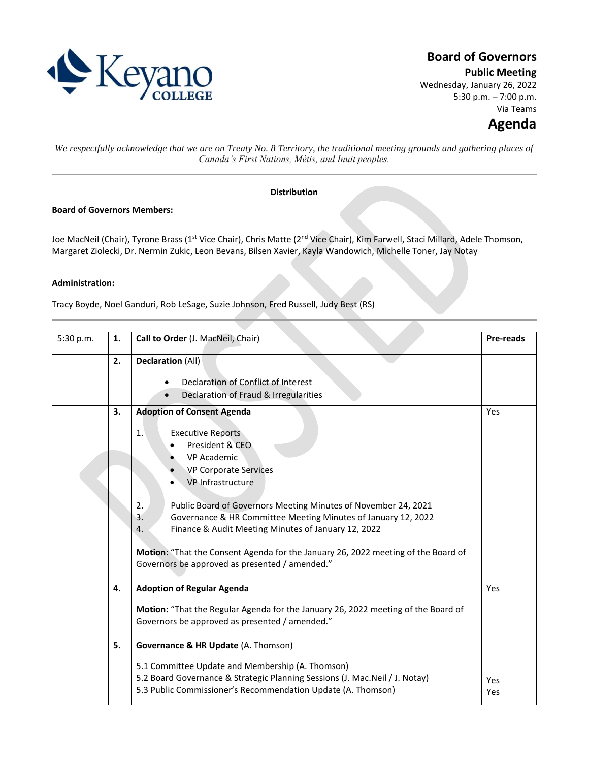

# **Board of Governors**

**Public Meeting**

Wednesday, January 26, 2022 5:30 p.m. – 7:00 p.m. Via Teams

# **Agenda**

*We respectfully acknowledge that we are on Treaty No. 8 Territory, the traditional meeting grounds and gathering places of Canada's First Nations, Métis, and Inuit peoples.*

## **Distribution**

### **Board of Governors Members:**

Joe MacNeil (Chair), Tyrone Brass (1<sup>st</sup> Vice Chair), Chris Matte (2<sup>nd</sup> Vice Chair), Kim Farwell, Staci Millard, Adele Thomson, Margaret Ziolecki, Dr. Nermin Zukic, Leon Bevans, Bilsen Xavier, Kayla Wandowich, Michelle Toner, Jay Notay

### **Administration:**

Tracy Boyde, Noel Ganduri, Rob LeSage, Suzie Johnson, Fred Russell, Judy Best (RS)

| 5:30 p.m. | 1. | Call to Order (J. MacNeil, Chair)                                                                                                                                                                                                                                                                                                                                                                                                                                                                                                | <b>Pre-reads</b> |
|-----------|----|----------------------------------------------------------------------------------------------------------------------------------------------------------------------------------------------------------------------------------------------------------------------------------------------------------------------------------------------------------------------------------------------------------------------------------------------------------------------------------------------------------------------------------|------------------|
|           | 2. | <b>Declaration (All)</b><br>Declaration of Conflict of Interest<br>Declaration of Fraud & Irregularities                                                                                                                                                                                                                                                                                                                                                                                                                         |                  |
|           | 3. | <b>Adoption of Consent Agenda</b><br><b>Executive Reports</b><br>1.<br>President & CEO<br><b>VP Academic</b><br><b>VP Corporate Services</b><br>VP Infrastructure<br>2.<br>Public Board of Governors Meeting Minutes of November 24, 2021<br>3 <sub>1</sub><br>Governance & HR Committee Meeting Minutes of January 12, 2022<br>Finance & Audit Meeting Minutes of January 12, 2022<br>4.<br>Motion: "That the Consent Agenda for the January 26, 2022 meeting of the Board of<br>Governors be approved as presented / amended." | Yes              |
|           | 4. | <b>Adoption of Regular Agenda</b><br>Motion: "That the Regular Agenda for the January 26, 2022 meeting of the Board of<br>Governors be approved as presented / amended."                                                                                                                                                                                                                                                                                                                                                         | Yes              |
|           | 5. | Governance & HR Update (A. Thomson)<br>5.1 Committee Update and Membership (A. Thomson)<br>5.2 Board Governance & Strategic Planning Sessions (J. Mac.Neil / J. Notay)<br>5.3 Public Commissioner's Recommendation Update (A. Thomson)                                                                                                                                                                                                                                                                                           | Yes<br>Yes       |